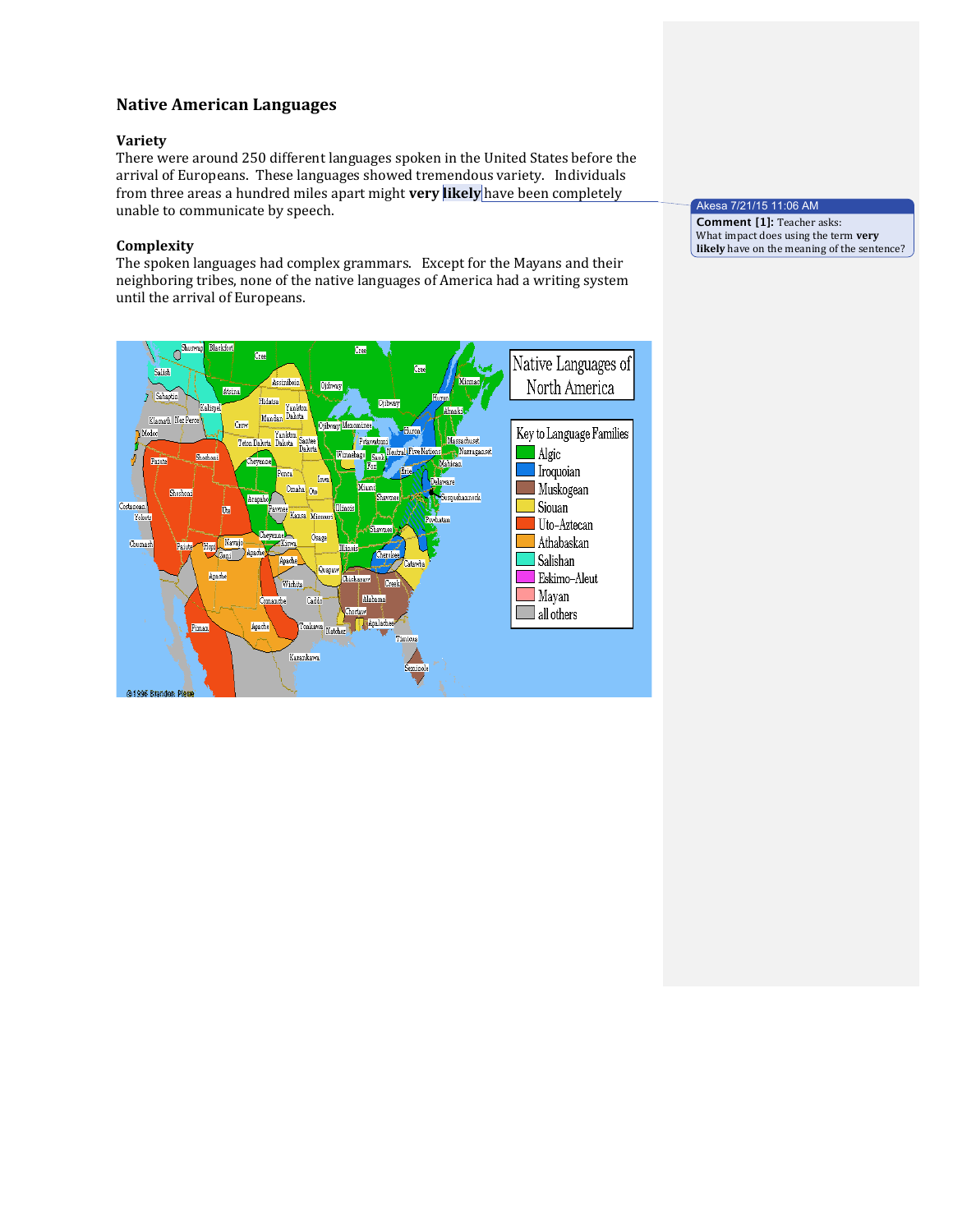# **Native'American'Languages**

# **Variety**

There were around 250 different languages spoken in the United States before the arrival of Europeans. These languages showed tremendous variety. Individuals from three areas a hundred miles apart might very likely have been completely unable to communicate by speech.

# **Complexity**

The spoken languages had complex grammars. Except for the Mayans and their neighboring tribes, none of the native languages of America had a writing system until the arrival of Europeans.



### Akesa 7/21/15 11:06 AM **Comment [1]: Teacher asks:**

What impact does using the term **very** likely have on the meaning of the sentence?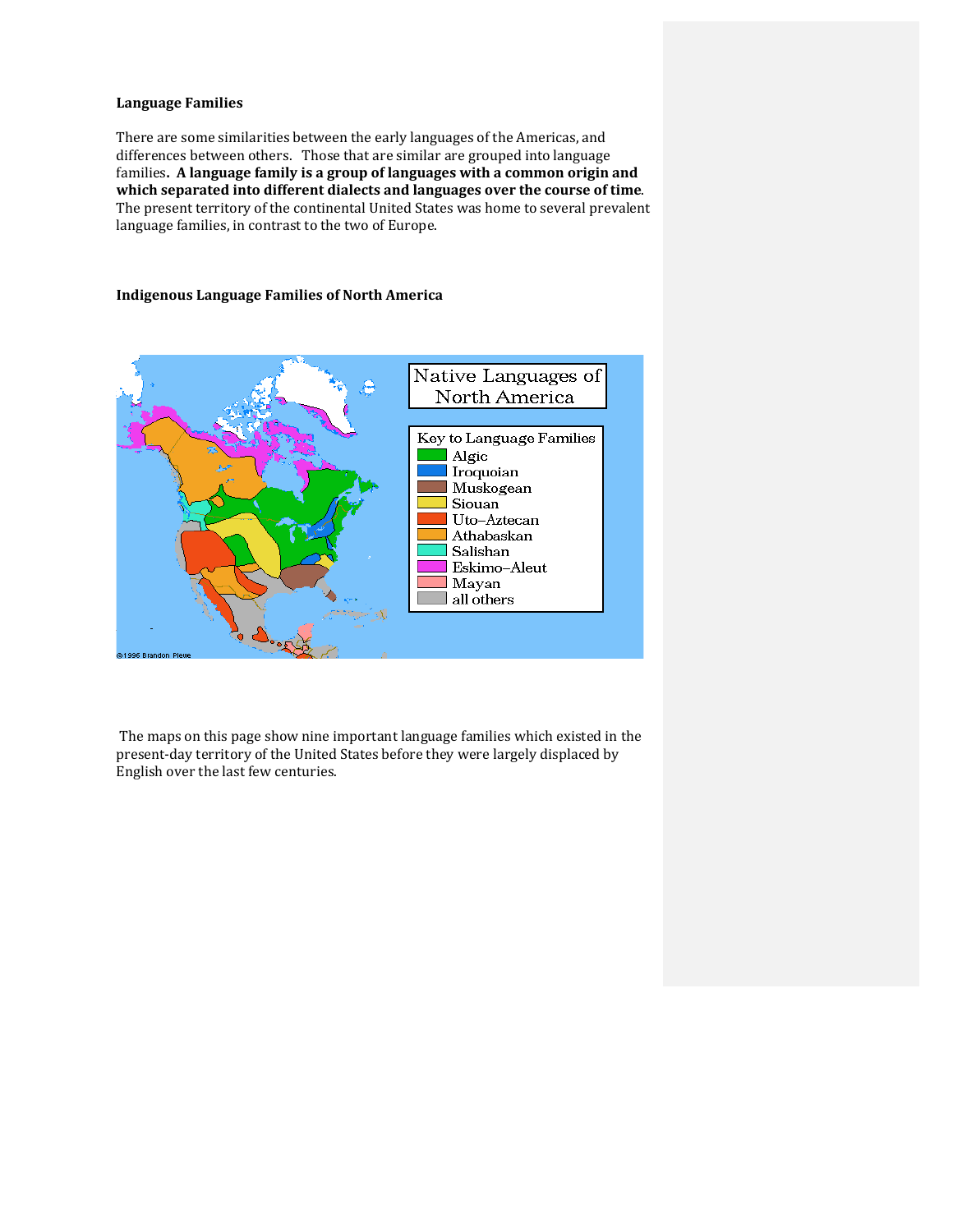# **Language Families**

There are some similarities between the early languages of the Americas, and differences between others. Those that are similar are grouped into language families. A language family is a group of languages with a common origin and which separated into different dialects and languages over the course of time. The present territory of the continental United States was home to several prevalent language families, in contrast to the two of Europe.

### **Indigenous'Language'Families'of'North'America**



The maps on this page show nine important language families which existed in the present-day territory of the United States before they were largely displaced by English over the last few centuries.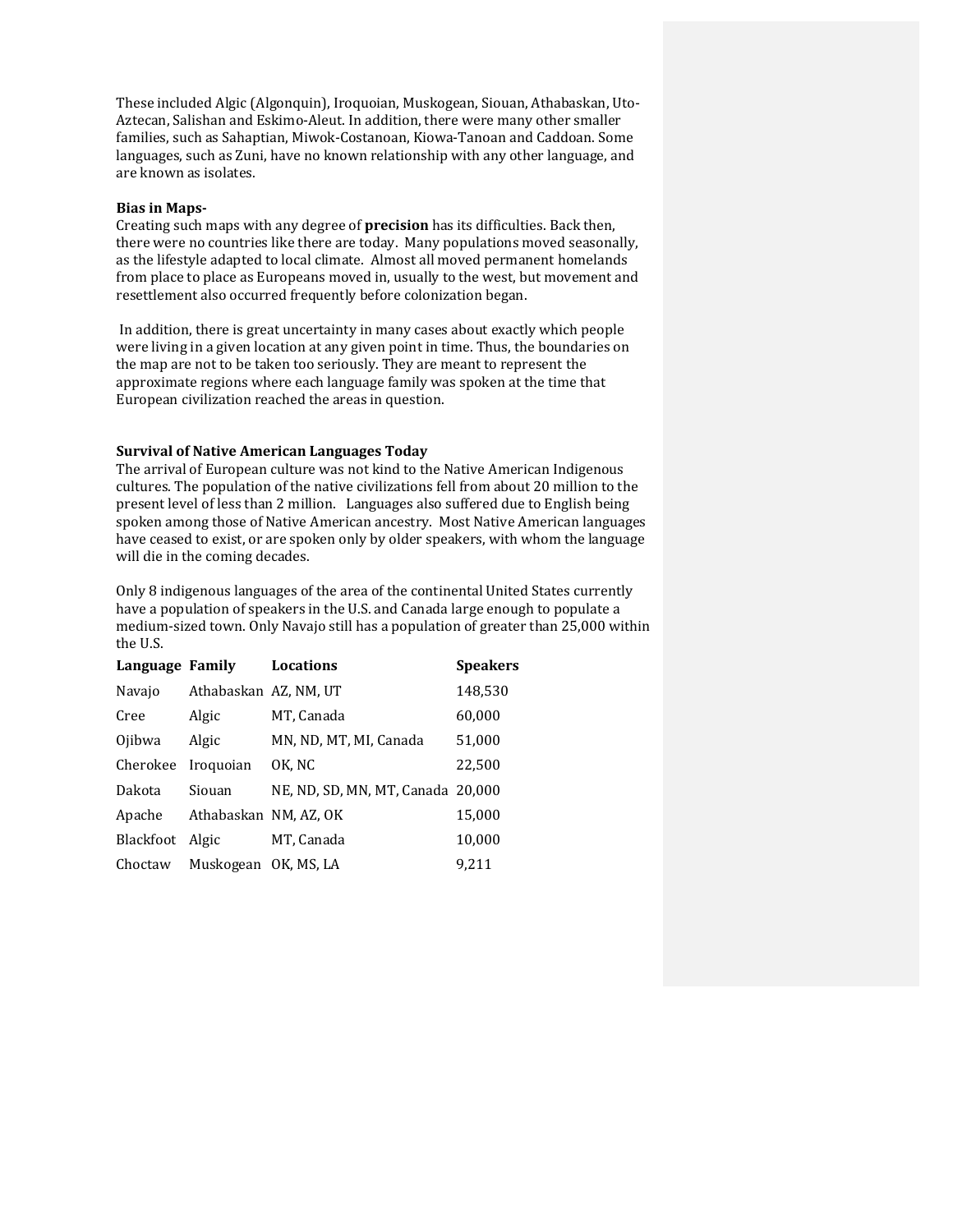These included Algic (Algonquin), Iroquoian, Muskogean, Siouan, Athabaskan, Uto-Aztecan, Salishan and Eskimo-Aleut. In addition, there were many other smaller families, such as Sahaptian, Miwok-Costanoan, Kiowa-Tanoan and Caddoan. Some languages, such as Zuni, have no known relationship with any other language, and are known as isolates.

#### **Bias in Maps-**

Creating such maps with any degree of **precision** has its difficulties. Back then, there were no countries like there are today. Many populations moved seasonally, as the lifestyle adapted to local climate. Almost all moved permanent homelands from place to place as Europeans moved in, usually to the west, but movement and resettlement also occurred frequently before colonization began.

In addition, there is great uncertainty in many cases about exactly which people were living in a given location at any given point in time. Thus, the boundaries on the map are not to be taken too seriously. They are meant to represent the approximate regions where each language family was spoken at the time that European civilization reached the areas in question.

#### **Survival'of'Native'American'Languages'Today**

The arrival of European culture was not kind to the Native American Indigenous cultures. The population of the native civilizations fell from about 20 million to the present level of less than 2 million. Languages also suffered due to English being spoken among those of Native American ancestry. Most Native American languages have ceased to exist, or are spoken only by older speakers, with whom the language will die in the coming decades.

Only 8 indigenous languages of the area of the continental United States currently have a population of speakers in the U.S. and Canada large enough to populate a medium-sized town. Only Navajo still has a population of greater than 25,000 within the U.S.

| Language Family |                       | <b>Locations</b>                  | <b>Speakers</b> |
|-----------------|-----------------------|-----------------------------------|-----------------|
| Navajo          | Athabaskan AZ, NM, UT |                                   | 148,530         |
| Cree            | Algic                 | MT, Canada                        | 60,000          |
| Ojibwa          | Algic                 | MN, ND, MT, MI, Canada            | 51,000          |
| Cherokee        | Iroquoian             | OK, NC                            | 22,500          |
| Dakota          | Siouan                | NE, ND, SD, MN, MT, Canada 20,000 |                 |
| Apache          | Athabaskan NM, AZ, OK |                                   | 15,000          |
| Blackfoot       | Algic                 | MT, Canada                        | 10,000          |
| Choctaw         | Muskogean OK, MS, LA  |                                   | 9.211           |